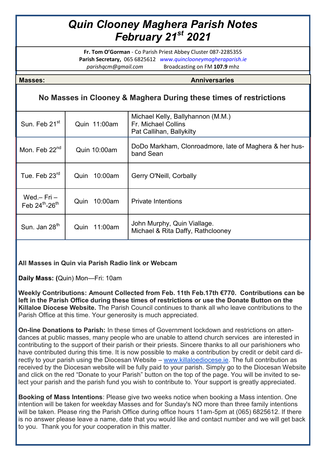# *Quin Clooney Maghera Parish Notes February 21st 2021*

**Fr. Tom O'Gorman** - Co Parish Priest Abbey Cluster 087-2285355 **Parish Secretary,** 065 6825612 *www.quinclooneymagheraparish.ie parishqcm@gmail.com* Broadcasting on FM **107.9** mhz

**Masses: Anniversaries**

## **No Masses in Clooney & Maghera During these times of restrictions**

| Sun. Feb 21 <sup>st</sup>         | Quin 11:00am    | Michael Kelly, Ballyhannon (M.M.)<br>Fr. Michael Collins<br>Pat Callihan, Ballykilty |
|-----------------------------------|-----------------|--------------------------------------------------------------------------------------|
| Mon. Feb 22 <sup>nd</sup>         | Quin 10:00am    | DoDo Markham, Clonroadmore, late of Maghera & her hus-<br>band Sean                  |
| Tue. Feb 23 <sup>rd</sup>         | 10:00am<br>Quin | Gerry O'Neill, Corbally                                                              |
| Wed. $-$ Fri $-$<br>Feb 24th-26th | 10:00am<br>Quin | <b>Private Intentions</b>                                                            |
| Sun. Jan 28 <sup>th</sup>         | 11:00am<br>Quin | John Murphy, Quin Viallage.<br>Michael & Rita Daffy, Rathclooney                     |

### **All Masses in Quin via Parish Radio link or Webcam**

**Daily Mass: (**Quin) Mon—Fri: 10am

**Weekly Contributions: Amount Collected from Feb. 11th Feb.17th €770. Contributions can be left in the Parish Office during these times of restrictions or use the Donate Button on the Killaloe Diocese Website.** The Parish Council continues to thank all who leave contributions to the Parish Office at this time. Your generosity is much appreciated.

**On-line Donations to Parish:** In these times of Government lockdown and restrictions on attendances at public masses, many people who are unable to attend church services are interested in contributing to the support of their parish or their priests. Sincere thanks to all our parishioners who have contributed during this time. It is now possible to make a contribution by credit or debit card directly to your parish using the Diocesan Website – [www.killaloediocese.ie.](http://www.killaloediocese.ie/) The full contribution as received by the Diocesan website will be fully paid to your parish. Simply go to the Diocesan Website and click on the red "Donate to your Parish" button on the top of the page. You will be invited to select your parish and the parish fund you wish to contribute to. Your support is greatly appreciated.

**Booking of Mass Intentions**: Please give two weeks notice when booking a Mass intention. One intention will be taken for weekday Masses and for Sunday's NO more than three family intentions will be taken. Please ring the Parish Office during office hours 11am-5pm at (065) 6825612. If there is no answer please leave a name, date that you would like and contact number and we will get back to you. Thank you for your cooperation in this matter.